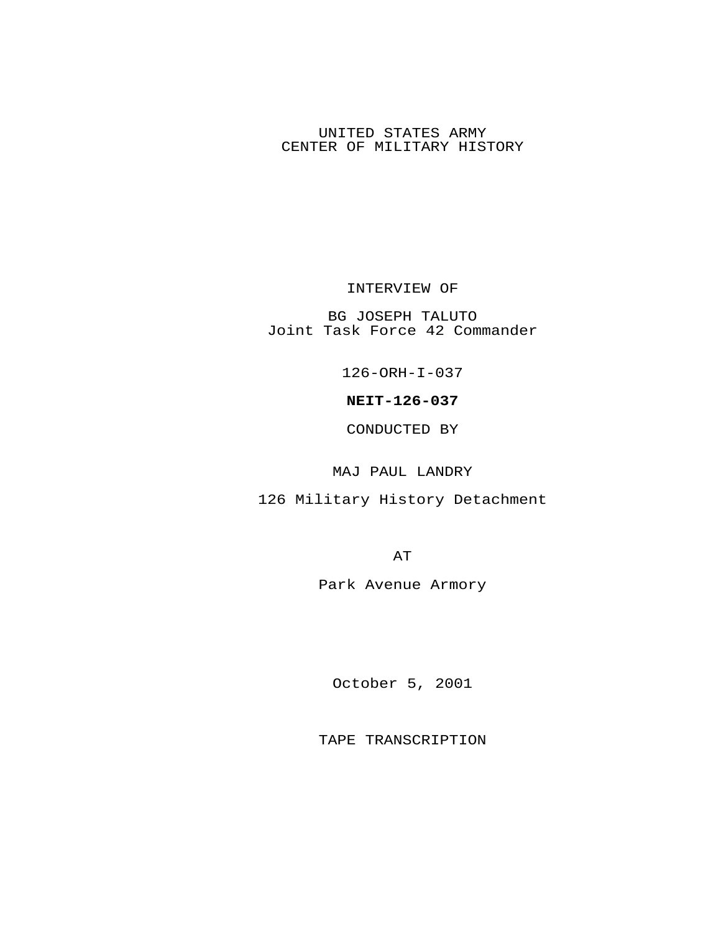## UNITED STATES ARMY CENTER OF MILITARY HISTORY

INTERVIEW OF

BG JOSEPH TALUTO Joint Task Force 42 Commander

126-ORH-I-037

**NEIT-126-037**

CONDUCTED BY

MAJ PAUL LANDRY

126 Military History Detachment

AT

Park Avenue Armory

October 5, 2001

TAPE TRANSCRIPTION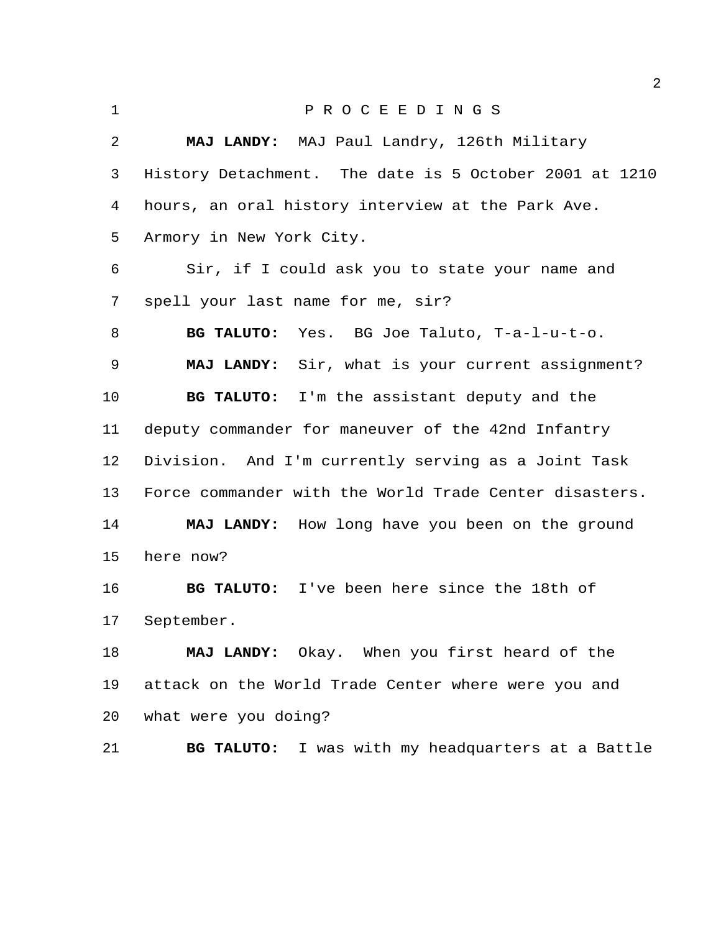| $\mathbf{1}$ | PROCEEDINGS                                            |
|--------------|--------------------------------------------------------|
| 2            | MAJ LANDY: MAJ Paul Landry, 126th Military             |
| 3            | History Detachment. The date is 5 October 2001 at 1210 |
| 4            | hours, an oral history interview at the Park Ave.      |
| 5            | Armory in New York City.                               |
| 6            | Sir, if I could ask you to state your name and         |
| 7            | spell your last name for me, sir?                      |
| 8            | BG TALUTO: Yes. BG Joe Taluto, T-a-l-u-t-o.            |
| 9            | MAJ LANDY: Sir, what is your current assignment?       |
| 10           | BG TALUTO: I'm the assistant deputy and the            |
| 11           | deputy commander for maneuver of the 42nd Infantry     |
| 12           | Division. And I'm currently serving as a Joint Task    |
| 13           | Force commander with the World Trade Center disasters. |
| 14           | MAJ LANDY: How long have you been on the ground        |
| 15           | here now?                                              |
| 16           | BG TALUTO: I've been here since the 18th of            |
| 17           | September.                                             |
| 18           | MAJ LANDY: Okay. When you first heard of the           |
| 19           | attack on the World Trade Center where were you and    |
| 20           | what were you doing?                                   |
| 21           | BG TALUTO: I was with my headquarters at a Battle      |
|              |                                                        |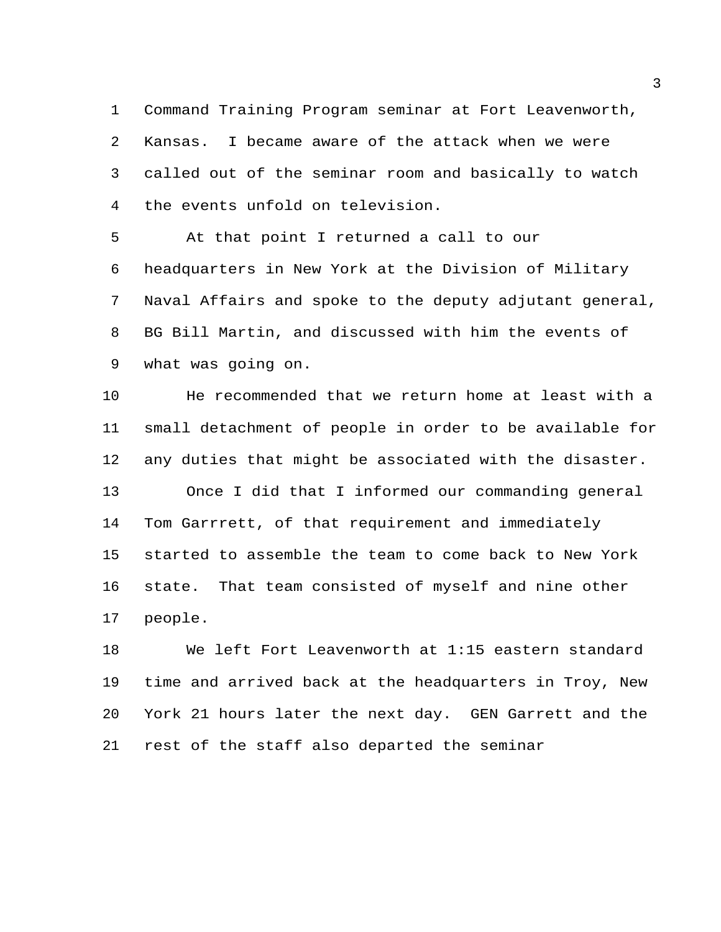Command Training Program seminar at Fort Leavenworth, Kansas. I became aware of the attack when we were called out of the seminar room and basically to watch the events unfold on television.

 At that point I returned a call to our headquarters in New York at the Division of Military Naval Affairs and spoke to the deputy adjutant general, BG Bill Martin, and discussed with him the events of what was going on.

 He recommended that we return home at least with a small detachment of people in order to be available for any duties that might be associated with the disaster. Once I did that I informed our commanding general Tom Garrrett, of that requirement and immediately started to assemble the team to come back to New York state. That team consisted of myself and nine other people.

 We left Fort Leavenworth at 1:15 eastern standard time and arrived back at the headquarters in Troy, New York 21 hours later the next day. GEN Garrett and the rest of the staff also departed the seminar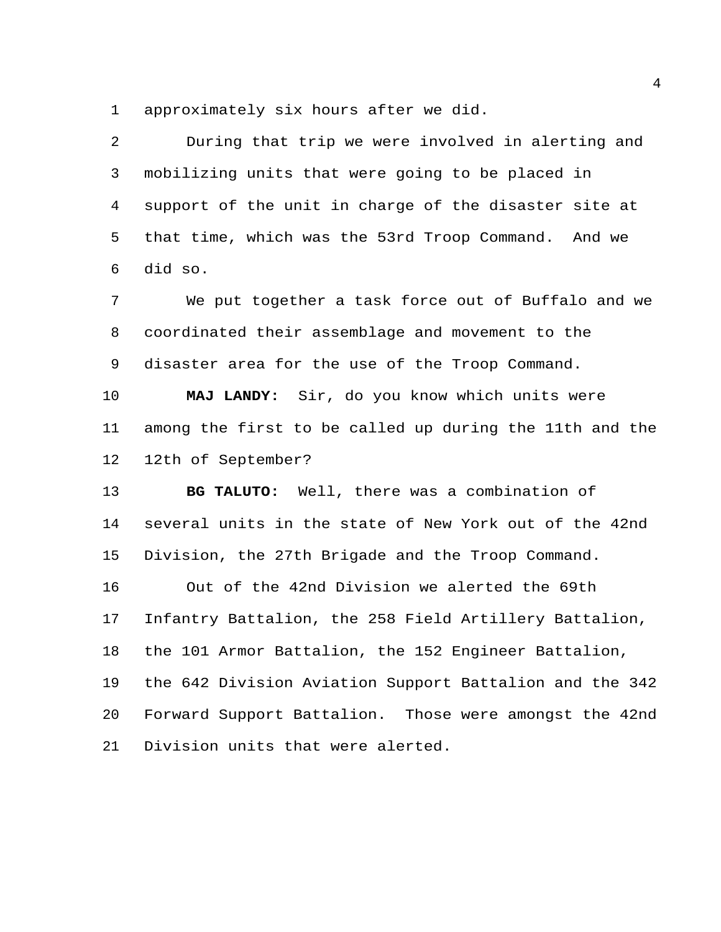approximately six hours after we did.

 During that trip we were involved in alerting and mobilizing units that were going to be placed in support of the unit in charge of the disaster site at that time, which was the 53rd Troop Command. And we did so.

 We put together a task force out of Buffalo and we coordinated their assemblage and movement to the disaster area for the use of the Troop Command.

 **MAJ LANDY:** Sir, do you know which units were among the first to be called up during the 11th and the 12th of September?

 **BG TALUTO:** Well, there was a combination of several units in the state of New York out of the 42nd Division, the 27th Brigade and the Troop Command. Out of the 42nd Division we alerted the 69th Infantry Battalion, the 258 Field Artillery Battalion, the 101 Armor Battalion, the 152 Engineer Battalion, the 642 Division Aviation Support Battalion and the 342 Forward Support Battalion. Those were amongst the 42nd Division units that were alerted.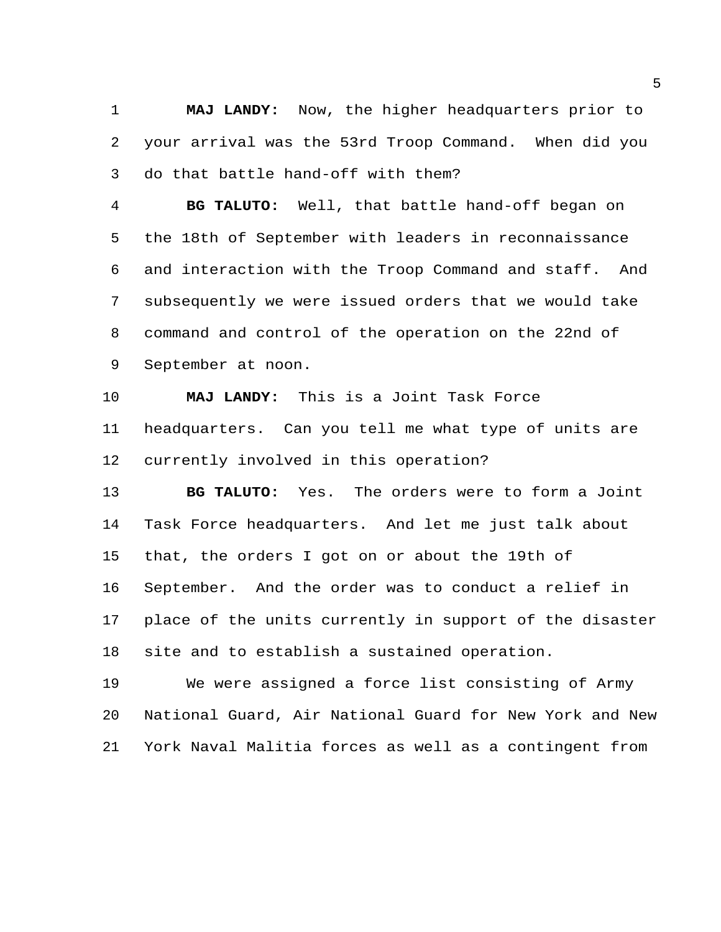**MAJ LANDY:** Now, the higher headquarters prior to your arrival was the 53rd Troop Command. When did you do that battle hand-off with them?

 **BG TALUTO:** Well, that battle hand-off began on the 18th of September with leaders in reconnaissance and interaction with the Troop Command and staff. And subsequently we were issued orders that we would take command and control of the operation on the 22nd of September at noon.

 **MAJ LANDY:** This is a Joint Task Force headquarters. Can you tell me what type of units are currently involved in this operation?

 **BG TALUTO:** Yes. The orders were to form a Joint Task Force headquarters. And let me just talk about that, the orders I got on or about the 19th of September. And the order was to conduct a relief in place of the units currently in support of the disaster site and to establish a sustained operation.

 We were assigned a force list consisting of Army National Guard, Air National Guard for New York and New York Naval Malitia forces as well as a contingent from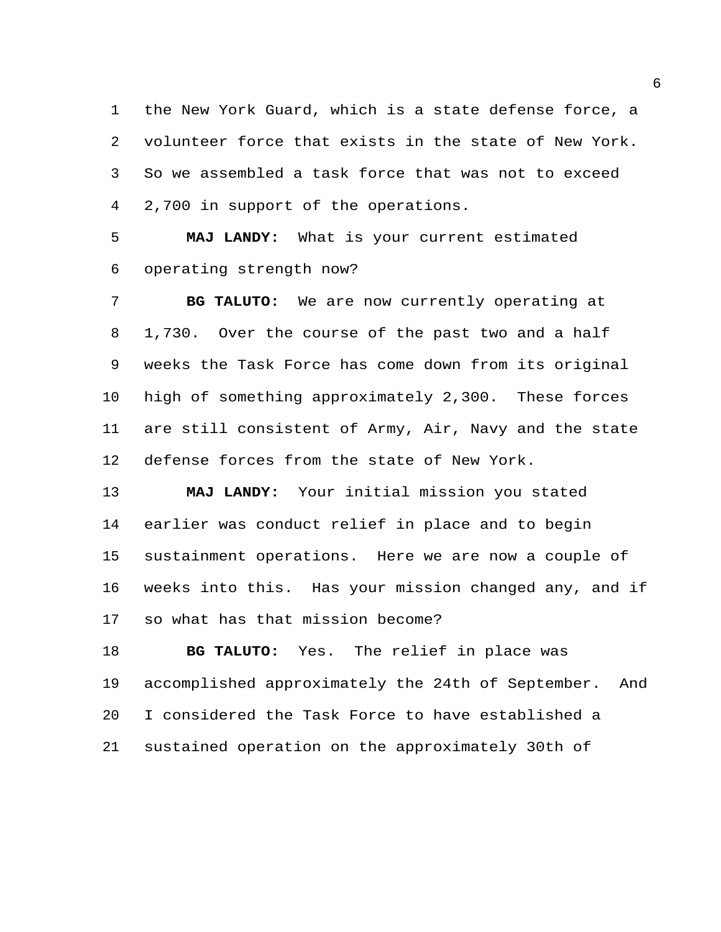the New York Guard, which is a state defense force, a volunteer force that exists in the state of New York. So we assembled a task force that was not to exceed 2,700 in support of the operations.

 **MAJ LANDY:** What is your current estimated operating strength now?

 **BG TALUTO:** We are now currently operating at 1,730. Over the course of the past two and a half weeks the Task Force has come down from its original high of something approximately 2,300. These forces are still consistent of Army, Air, Navy and the state defense forces from the state of New York.

 **MAJ LANDY:** Your initial mission you stated earlier was conduct relief in place and to begin sustainment operations. Here we are now a couple of weeks into this. Has your mission changed any, and if so what has that mission become?

 **BG TALUTO:** Yes. The relief in place was accomplished approximately the 24th of September. And I considered the Task Force to have established a sustained operation on the approximately 30th of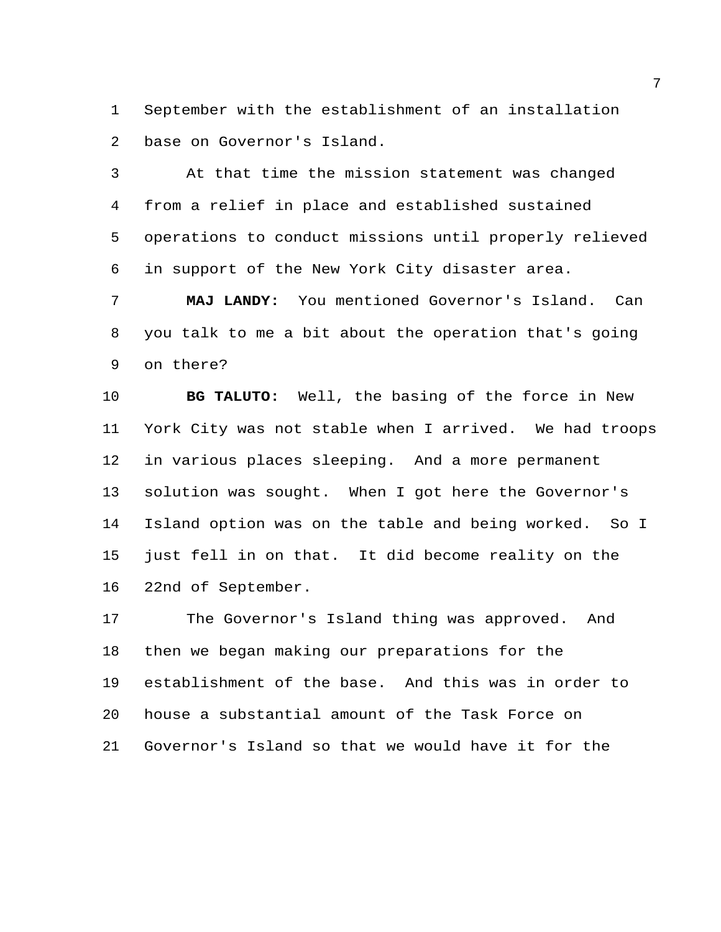September with the establishment of an installation base on Governor's Island.

 At that time the mission statement was changed from a relief in place and established sustained operations to conduct missions until properly relieved in support of the New York City disaster area.

 **MAJ LANDY:** You mentioned Governor's Island. Can you talk to me a bit about the operation that's going on there?

 **BG TALUTO:** Well, the basing of the force in New York City was not stable when I arrived. We had troops in various places sleeping. And a more permanent solution was sought. When I got here the Governor's Island option was on the table and being worked. So I just fell in on that. It did become reality on the 22nd of September.

 The Governor's Island thing was approved. And then we began making our preparations for the establishment of the base. And this was in order to house a substantial amount of the Task Force on Governor's Island so that we would have it for the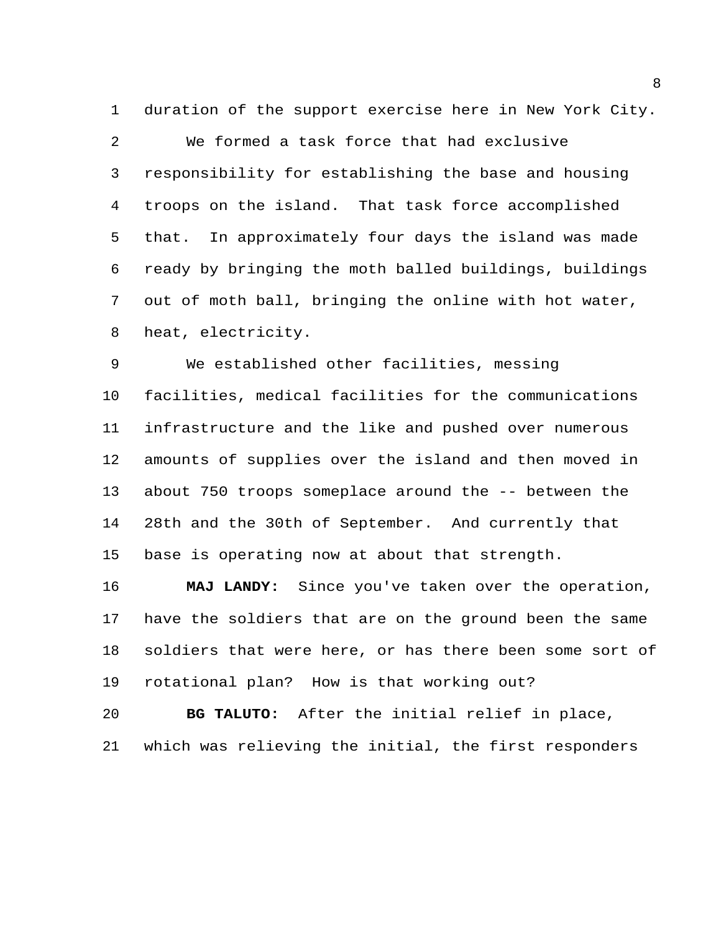duration of the support exercise here in New York City.

 We formed a task force that had exclusive responsibility for establishing the base and housing troops on the island. That task force accomplished that. In approximately four days the island was made ready by bringing the moth balled buildings, buildings out of moth ball, bringing the online with hot water, heat, electricity.

 We established other facilities, messing facilities, medical facilities for the communications infrastructure and the like and pushed over numerous amounts of supplies over the island and then moved in about 750 troops someplace around the -- between the 28th and the 30th of September. And currently that base is operating now at about that strength.

 **MAJ LANDY:** Since you've taken over the operation, have the soldiers that are on the ground been the same soldiers that were here, or has there been some sort of rotational plan? How is that working out?

 **BG TALUTO:** After the initial relief in place, which was relieving the initial, the first responders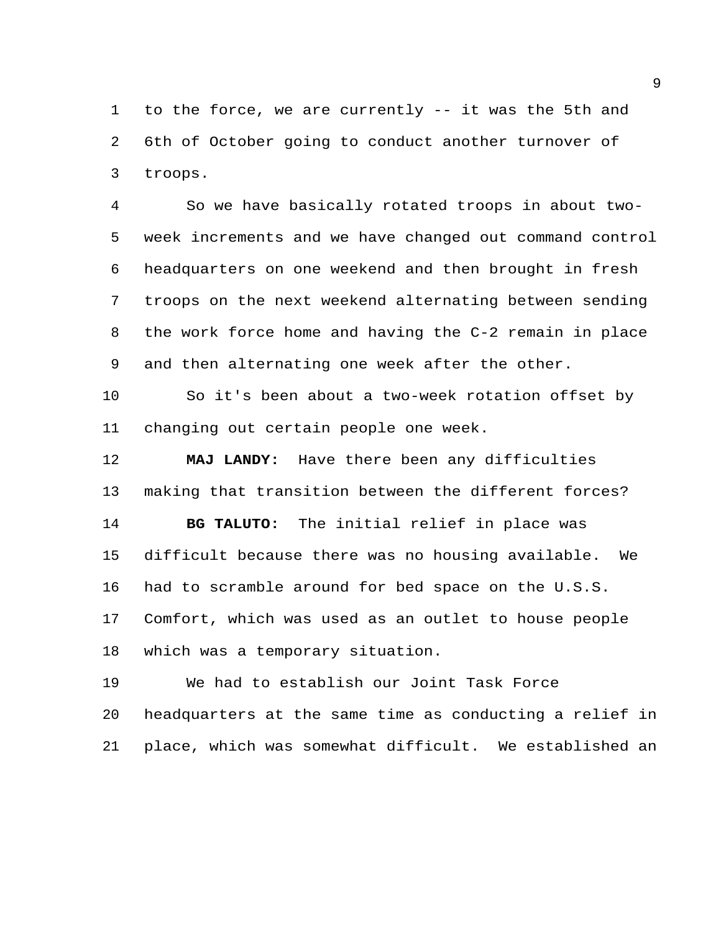to the force, we are currently -- it was the 5th and 6th of October going to conduct another turnover of troops.

 So we have basically rotated troops in about two- week increments and we have changed out command control headquarters on one weekend and then brought in fresh troops on the next weekend alternating between sending the work force home and having the C-2 remain in place and then alternating one week after the other.

 So it's been about a two-week rotation offset by changing out certain people one week.

 **MAJ LANDY:** Have there been any difficulties making that transition between the different forces? **BG TALUTO:** The initial relief in place was difficult because there was no housing available. We had to scramble around for bed space on the U.S.S. Comfort, which was used as an outlet to house people which was a temporary situation.

 We had to establish our Joint Task Force headquarters at the same time as conducting a relief in place, which was somewhat difficult. We established an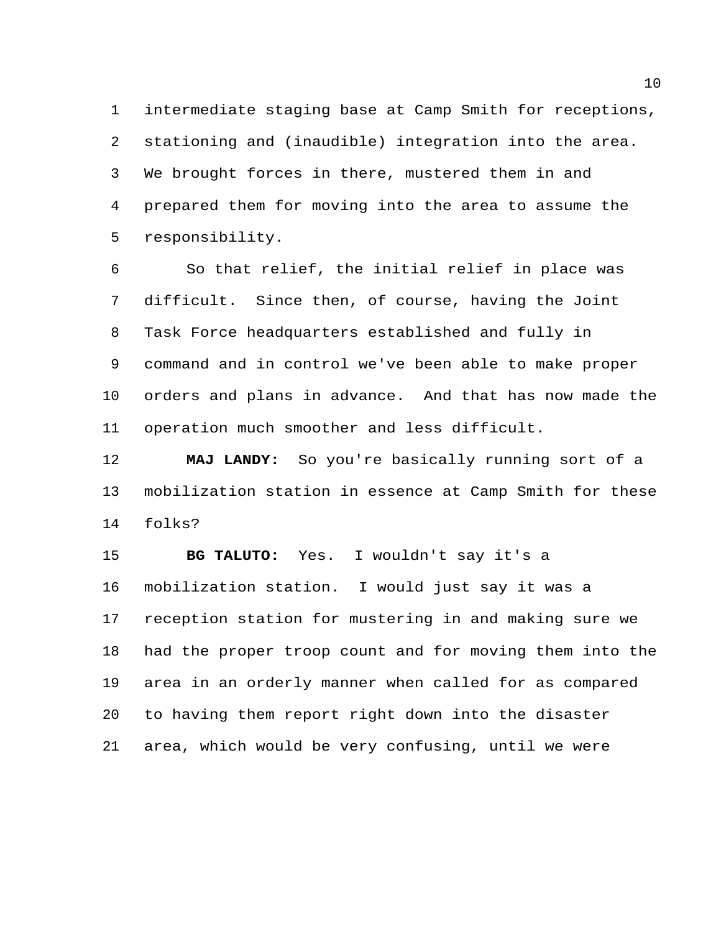intermediate staging base at Camp Smith for receptions, stationing and (inaudible) integration into the area. We brought forces in there, mustered them in and prepared them for moving into the area to assume the responsibility.

 So that relief, the initial relief in place was difficult. Since then, of course, having the Joint Task Force headquarters established and fully in command and in control we've been able to make proper orders and plans in advance. And that has now made the operation much smoother and less difficult.

 **MAJ LANDY:** So you're basically running sort of a mobilization station in essence at Camp Smith for these folks?

 **BG TALUTO:** Yes. I wouldn't say it's a mobilization station. I would just say it was a reception station for mustering in and making sure we had the proper troop count and for moving them into the area in an orderly manner when called for as compared to having them report right down into the disaster area, which would be very confusing, until we were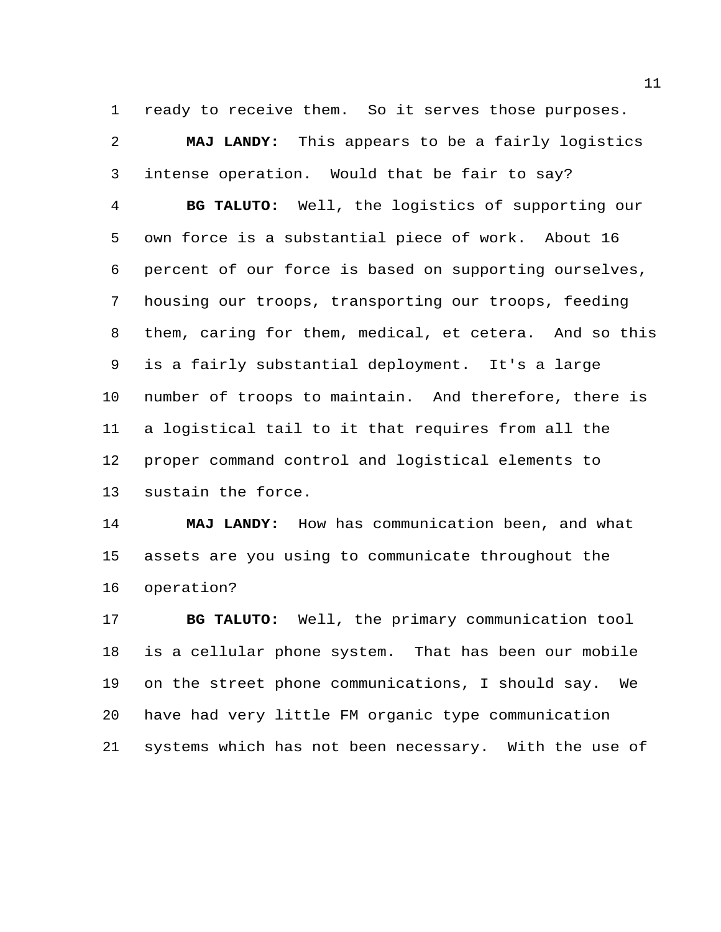ready to receive them. So it serves those purposes.

 **MAJ LANDY:** This appears to be a fairly logistics intense operation. Would that be fair to say? **BG TALUTO:** Well, the logistics of supporting our own force is a substantial piece of work. About 16 percent of our force is based on supporting ourselves, housing our troops, transporting our troops, feeding them, caring for them, medical, et cetera. And so this is a fairly substantial deployment. It's a large number of troops to maintain. And therefore, there is a logistical tail to it that requires from all the proper command control and logistical elements to sustain the force.

 **MAJ LANDY:** How has communication been, and what assets are you using to communicate throughout the operation?

 **BG TALUTO:** Well, the primary communication tool is a cellular phone system. That has been our mobile on the street phone communications, I should say. We have had very little FM organic type communication systems which has not been necessary. With the use of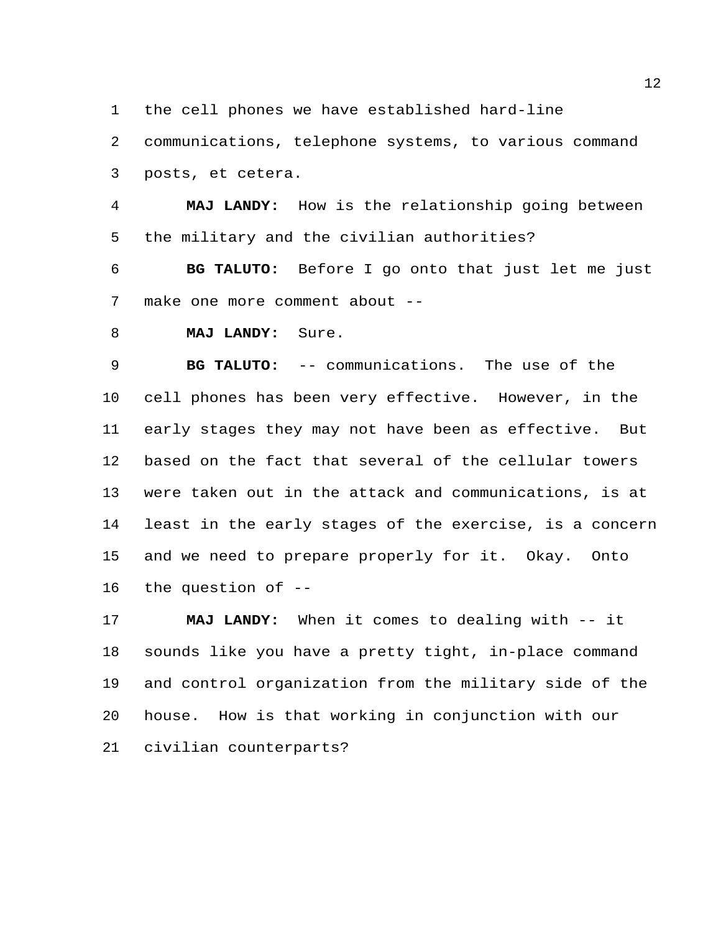the cell phones we have established hard-line

 communications, telephone systems, to various command posts, et cetera.

 **MAJ LANDY:** How is the relationship going between the military and the civilian authorities?

 **BG TALUTO:** Before I go onto that just let me just make one more comment about --

**MAJ LANDY:** Sure.

 **BG TALUTO:** -- communications. The use of the cell phones has been very effective. However, in the early stages they may not have been as effective. But based on the fact that several of the cellular towers were taken out in the attack and communications, is at least in the early stages of the exercise, is a concern and we need to prepare properly for it. Okay. Onto the question of --

 **MAJ LANDY:** When it comes to dealing with -- it sounds like you have a pretty tight, in-place command and control organization from the military side of the house. How is that working in conjunction with our civilian counterparts?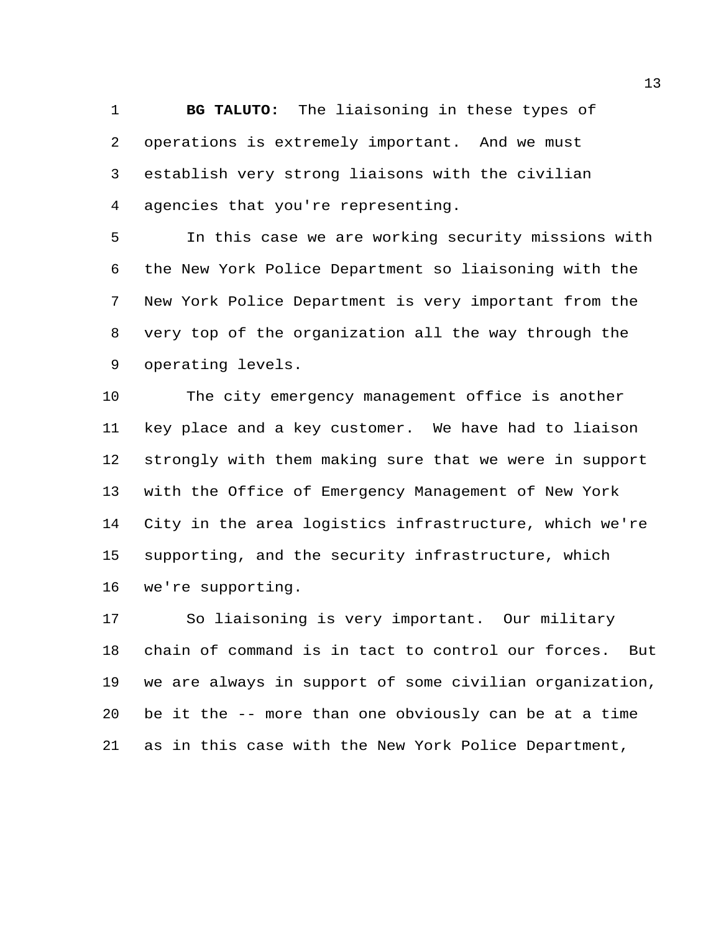**BG TALUTO:** The liaisoning in these types of operations is extremely important. And we must establish very strong liaisons with the civilian agencies that you're representing.

 In this case we are working security missions with the New York Police Department so liaisoning with the New York Police Department is very important from the very top of the organization all the way through the operating levels.

 The city emergency management office is another key place and a key customer. We have had to liaison strongly with them making sure that we were in support with the Office of Emergency Management of New York City in the area logistics infrastructure, which we're supporting, and the security infrastructure, which we're supporting.

 So liaisoning is very important. Our military chain of command is in tact to control our forces. But we are always in support of some civilian organization, be it the -- more than one obviously can be at a time as in this case with the New York Police Department,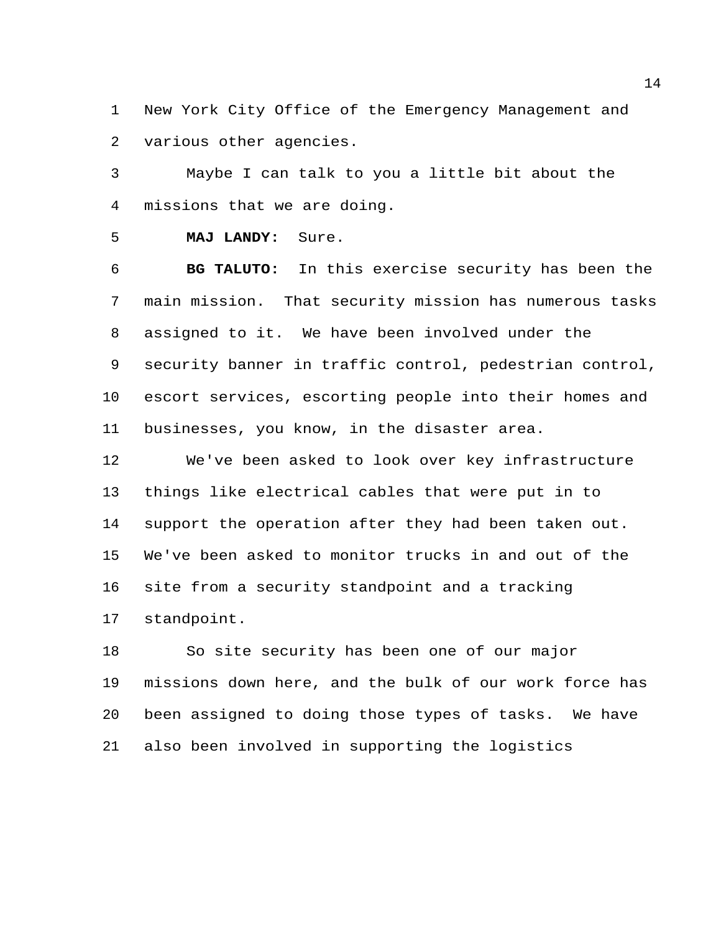New York City Office of the Emergency Management and various other agencies.

 Maybe I can talk to you a little bit about the missions that we are doing.

**MAJ LANDY:** Sure.

 **BG TALUTO:** In this exercise security has been the main mission. That security mission has numerous tasks assigned to it. We have been involved under the security banner in traffic control, pedestrian control, escort services, escorting people into their homes and businesses, you know, in the disaster area.

 We've been asked to look over key infrastructure things like electrical cables that were put in to support the operation after they had been taken out. We've been asked to monitor trucks in and out of the site from a security standpoint and a tracking standpoint.

 So site security has been one of our major missions down here, and the bulk of our work force has been assigned to doing those types of tasks. We have also been involved in supporting the logistics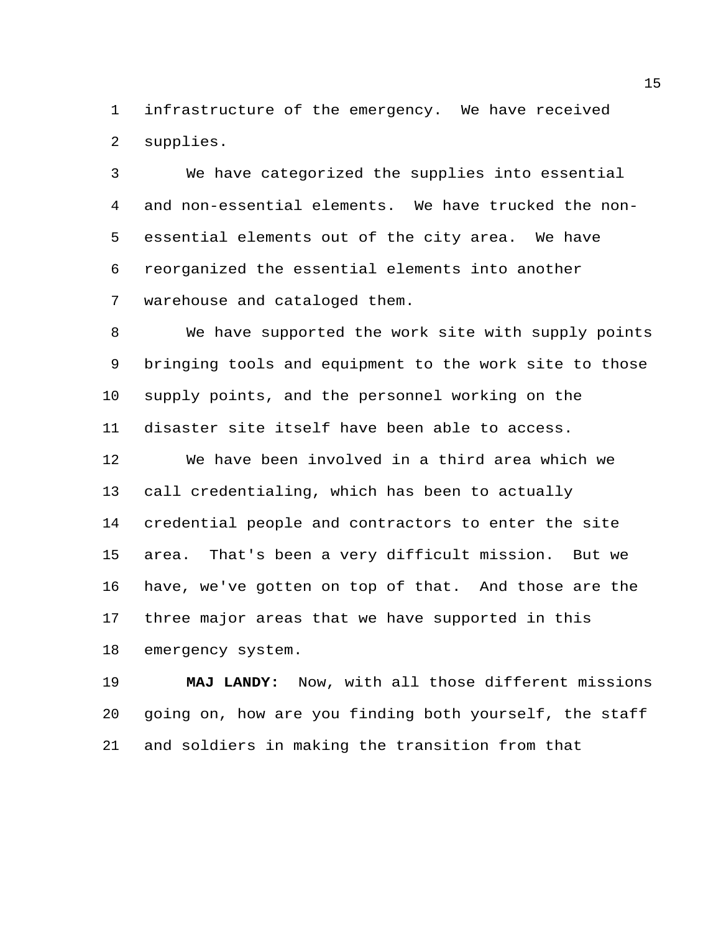infrastructure of the emergency. We have received supplies.

 We have categorized the supplies into essential and non-essential elements. We have trucked the non- essential elements out of the city area. We have reorganized the essential elements into another warehouse and cataloged them.

 We have supported the work site with supply points bringing tools and equipment to the work site to those supply points, and the personnel working on the disaster site itself have been able to access.

 We have been involved in a third area which we call credentialing, which has been to actually credential people and contractors to enter the site area. That's been a very difficult mission. But we have, we've gotten on top of that. And those are the three major areas that we have supported in this emergency system.

 **MAJ LANDY:** Now, with all those different missions going on, how are you finding both yourself, the staff and soldiers in making the transition from that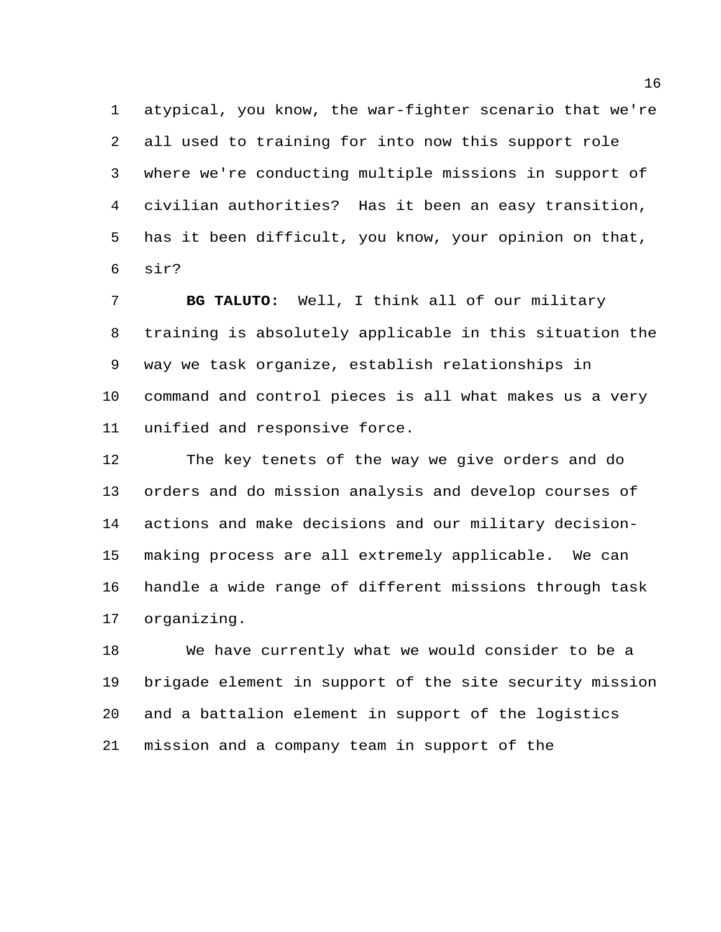atypical, you know, the war-fighter scenario that we're all used to training for into now this support role where we're conducting multiple missions in support of civilian authorities? Has it been an easy transition, has it been difficult, you know, your opinion on that, sir?

 **BG TALUTO:** Well, I think all of our military training is absolutely applicable in this situation the way we task organize, establish relationships in command and control pieces is all what makes us a very unified and responsive force.

 The key tenets of the way we give orders and do orders and do mission analysis and develop courses of actions and make decisions and our military decision- making process are all extremely applicable. We can handle a wide range of different missions through task organizing.

 We have currently what we would consider to be a brigade element in support of the site security mission and a battalion element in support of the logistics mission and a company team in support of the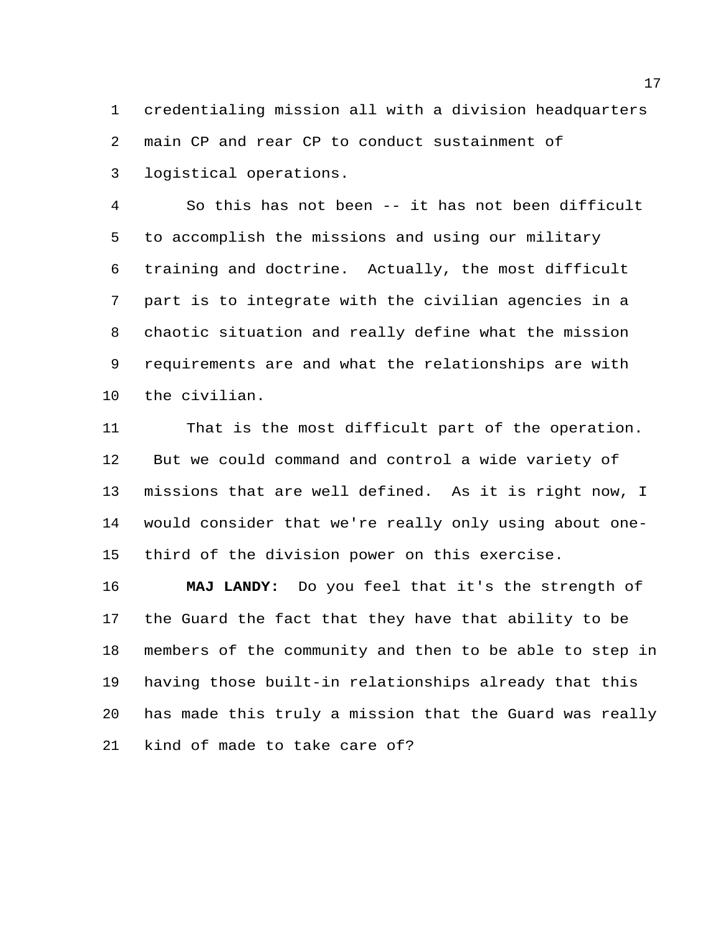credentialing mission all with a division headquarters main CP and rear CP to conduct sustainment of logistical operations.

 So this has not been -- it has not been difficult to accomplish the missions and using our military training and doctrine. Actually, the most difficult part is to integrate with the civilian agencies in a chaotic situation and really define what the mission requirements are and what the relationships are with the civilian.

 That is the most difficult part of the operation. But we could command and control a wide variety of missions that are well defined. As it is right now, I would consider that we're really only using about one-third of the division power on this exercise.

 **MAJ LANDY:** Do you feel that it's the strength of the Guard the fact that they have that ability to be members of the community and then to be able to step in having those built-in relationships already that this has made this truly a mission that the Guard was really kind of made to take care of?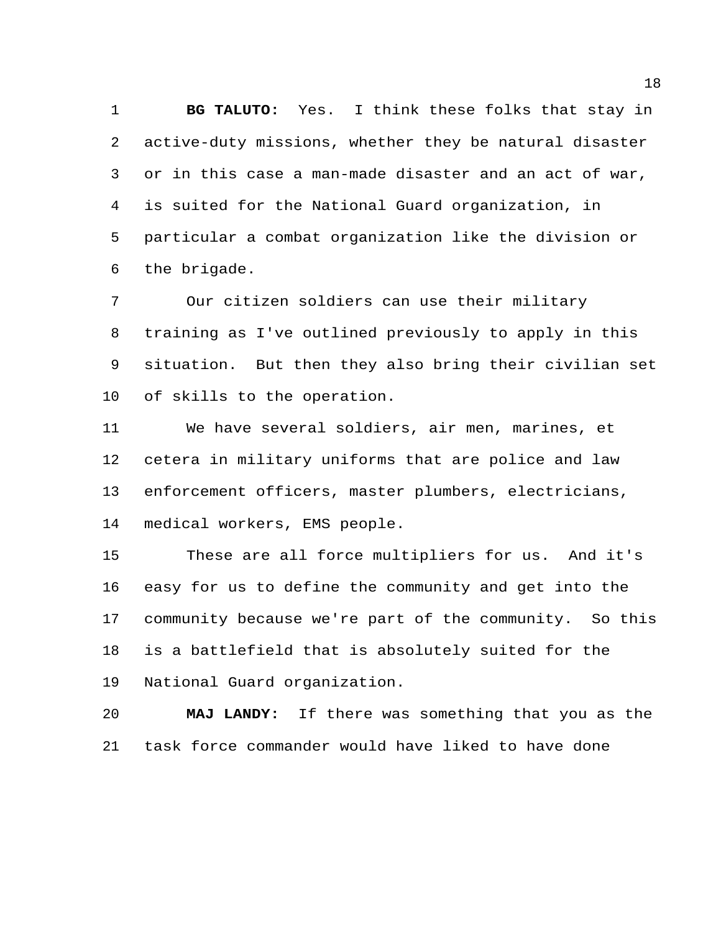**BG TALUTO:** Yes. I think these folks that stay in active-duty missions, whether they be natural disaster or in this case a man-made disaster and an act of war, is suited for the National Guard organization, in particular a combat organization like the division or the brigade.

 Our citizen soldiers can use their military training as I've outlined previously to apply in this situation. But then they also bring their civilian set of skills to the operation.

 We have several soldiers, air men, marines, et cetera in military uniforms that are police and law enforcement officers, master plumbers, electricians, medical workers, EMS people.

 These are all force multipliers for us. And it's easy for us to define the community and get into the community because we're part of the community. So this is a battlefield that is absolutely suited for the National Guard organization.

 **MAJ LANDY:** If there was something that you as the task force commander would have liked to have done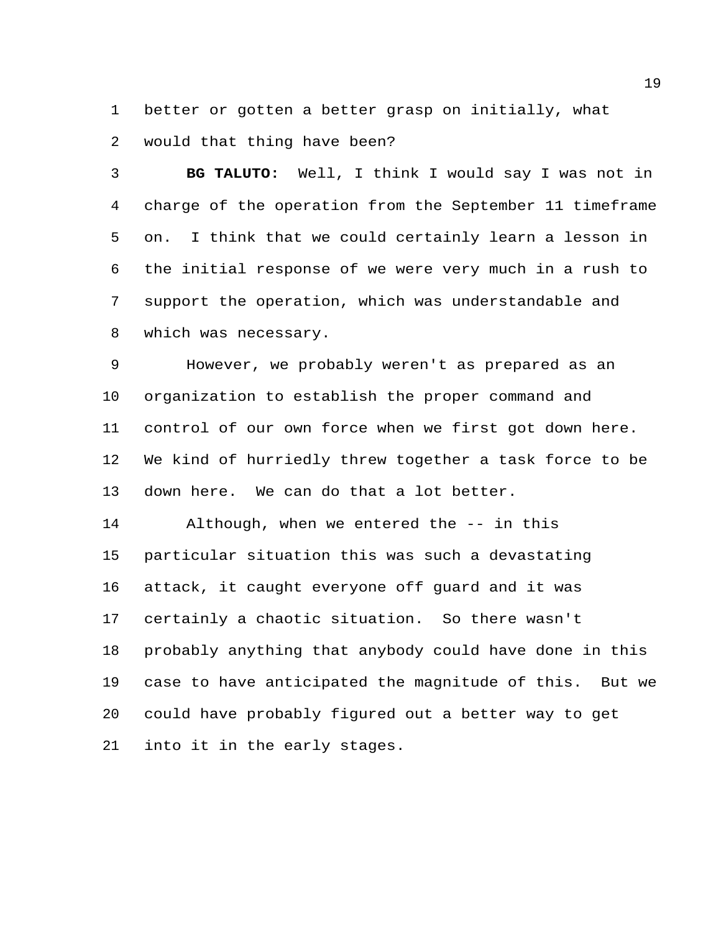better or gotten a better grasp on initially, what would that thing have been?

 **BG TALUTO:** Well, I think I would say I was not in charge of the operation from the September 11 timeframe on. I think that we could certainly learn a lesson in the initial response of we were very much in a rush to support the operation, which was understandable and which was necessary.

 However, we probably weren't as prepared as an organization to establish the proper command and control of our own force when we first got down here. We kind of hurriedly threw together a task force to be down here. We can do that a lot better.

 Although, when we entered the -- in this particular situation this was such a devastating attack, it caught everyone off guard and it was certainly a chaotic situation. So there wasn't probably anything that anybody could have done in this case to have anticipated the magnitude of this. But we could have probably figured out a better way to get into it in the early stages.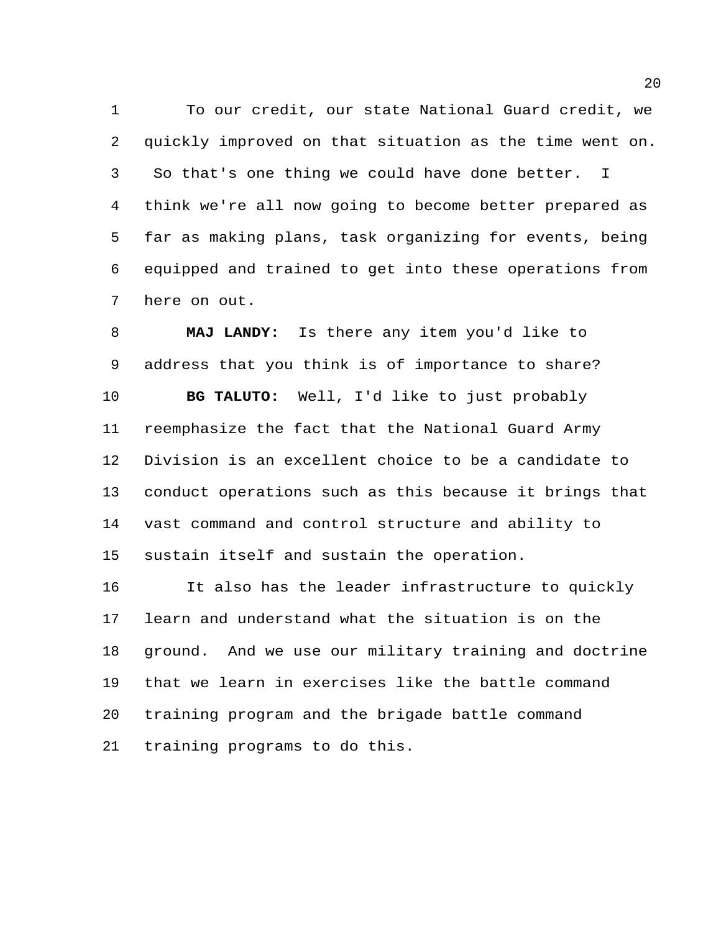To our credit, our state National Guard credit, we quickly improved on that situation as the time went on. So that's one thing we could have done better. I think we're all now going to become better prepared as far as making plans, task organizing for events, being equipped and trained to get into these operations from here on out.

 **MAJ LANDY:** Is there any item you'd like to address that you think is of importance to share? **BG TALUTO:** Well, I'd like to just probably reemphasize the fact that the National Guard Army Division is an excellent choice to be a candidate to conduct operations such as this because it brings that vast command and control structure and ability to sustain itself and sustain the operation.

 It also has the leader infrastructure to quickly learn and understand what the situation is on the ground. And we use our military training and doctrine that we learn in exercises like the battle command training program and the brigade battle command training programs to do this.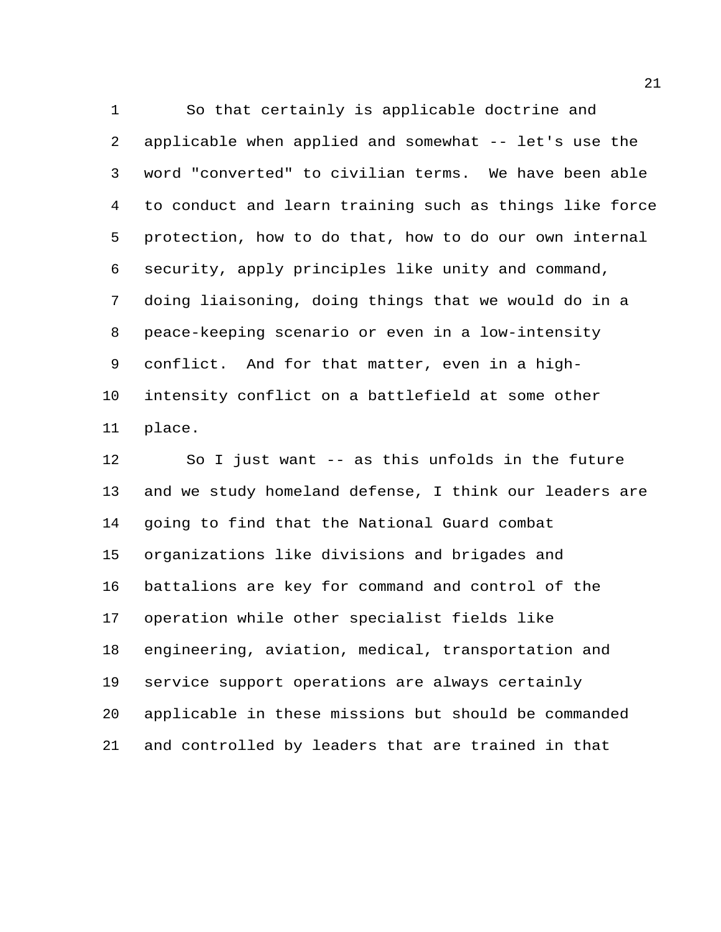So that certainly is applicable doctrine and applicable when applied and somewhat -- let's use the word "converted" to civilian terms. We have been able to conduct and learn training such as things like force protection, how to do that, how to do our own internal security, apply principles like unity and command, doing liaisoning, doing things that we would do in a peace-keeping scenario or even in a low-intensity conflict. And for that matter, even in a high- intensity conflict on a battlefield at some other place.

 So I just want -- as this unfolds in the future and we study homeland defense, I think our leaders are going to find that the National Guard combat organizations like divisions and brigades and battalions are key for command and control of the operation while other specialist fields like engineering, aviation, medical, transportation and service support operations are always certainly applicable in these missions but should be commanded and controlled by leaders that are trained in that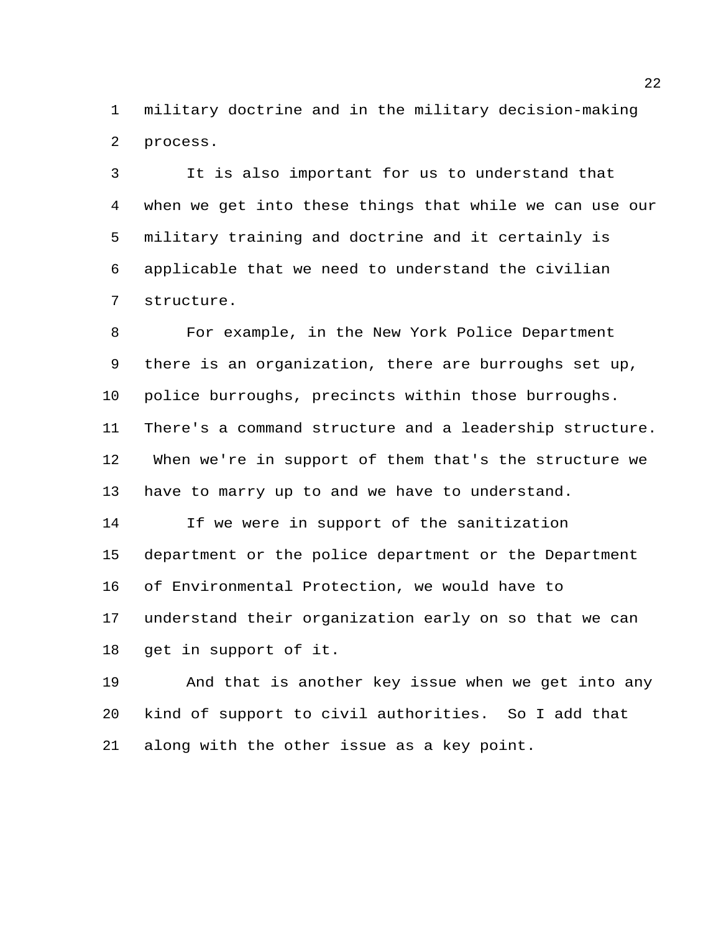military doctrine and in the military decision-making process.

 It is also important for us to understand that when we get into these things that while we can use our military training and doctrine and it certainly is applicable that we need to understand the civilian structure.

 For example, in the New York Police Department there is an organization, there are burroughs set up, police burroughs, precincts within those burroughs. There's a command structure and a leadership structure. When we're in support of them that's the structure we have to marry up to and we have to understand.

 If we were in support of the sanitization department or the police department or the Department of Environmental Protection, we would have to understand their organization early on so that we can get in support of it.

 And that is another key issue when we get into any kind of support to civil authorities. So I add that along with the other issue as a key point.